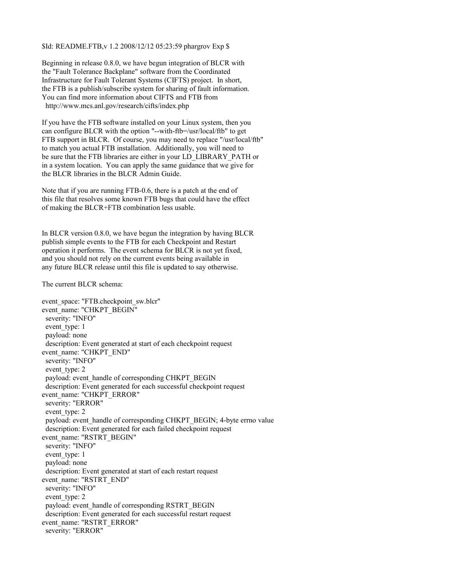\$Id: README.FTB,v 1.2 2008/12/12 05:23:59 phargrov Exp \$

Beginning in release 0.8.0, we have begun integration of BLCR with the "Fault Tolerance Backplane" software from the Coordinated Infrastructure for Fault Tolerant Systems (CIFTS) project. In short, the FTB is a publish/subscribe system for sharing of fault information. You can find more information about CIFTS and FTB from http://www.mcs.anl.gov/research/cifts/index.php

If you have the FTB software installed on your Linux system, then you can configure BLCR with the option "--with-ftb=/usr/local/ftb" to get FTB support in BLCR. Of course, you may need to replace "/usr/local/ftb" to match you actual FTB installation. Additionally, you will need to be sure that the FTB libraries are either in your LD\_LIBRARY\_PATH or in a system location. You can apply the same guidance that we give for the BLCR libraries in the BLCR Admin Guide.

Note that if you are running FTB-0.6, there is a patch at the end of this file that resolves some known FTB bugs that could have the effect of making the BLCR+FTB combination less usable.

In BLCR version 0.8.0, we have begun the integration by having BLCR publish simple events to the FTB for each Checkpoint and Restart operation it performs. The event schema for BLCR is not yet fixed, and you should not rely on the current events being available in any future BLCR release until this file is updated to say otherwise.

The current BLCR schema:

event\_space: "FTB.checkpoint\_sw.blcr" event\_name: "CHKPT\_BEGIN" severity: "INFO" event type: 1 payload: none description: Event generated at start of each checkpoint request event\_name: "CHKPT\_END" severity: "INFO" event type: 2 payload: event\_handle of corresponding CHKPT\_BEGIN description: Event generated for each successful checkpoint request event\_name: "CHKPT\_ERROR" severity: "ERROR" event type: 2 payload: event\_handle of corresponding CHKPT\_BEGIN; 4-byte errno value description: Event generated for each failed checkpoint request event\_name: "RSTRT\_BEGIN" severity: "INFO" event type: 1 payload: none description: Event generated at start of each restart request event\_name: "RSTRT\_END" severity: "INFO" event type: 2 payload: event\_handle of corresponding RSTRT\_BEGIN description: Event generated for each successful restart request event\_name: "RSTRT\_ERROR" severity: "ERROR"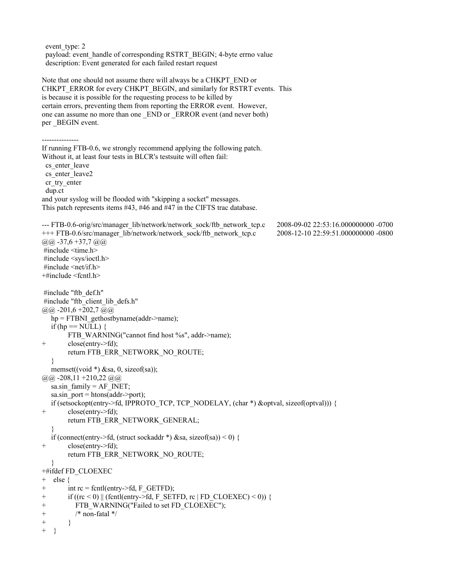event type: 2 payload: event\_handle of corresponding RSTRT\_BEGIN; 4-byte errno value description: Event generated for each failed restart request Note that one should not assume there will always be a CHKPT\_END or CHKPT\_ERROR for every CHKPT\_BEGIN, and similarly for RSTRT events. This is because it is possible for the requesting process to be killed by certain errors, preventing them from reporting the ERROR event. However, one can assume no more than one END or ERROR event (and never both) per BEGIN event. --------------- If running FTB-0.6, we strongly recommend applying the following patch. Without it, at least four tests in BLCR's testsuite will often fail: cs enter leave cs enter leave2 cr\_try\_enter dup.ct and your syslog will be flooded with "skipping a socket" messages. This patch represents items #43, #46 and #47 in the CIFTS trac database. --- FTB-0.6-orig/src/manager\_lib/network/network\_sock/ftb\_network\_tcp.c 2008-09-02 22:53:16.000000000 -0700 +++ FTB-0.6/src/manager\_lib/network/network\_sock/ftb\_network\_tcp.c 2008-12-10 22:59:51.000000000 -0800  $(a)$ , $(a)$ , -37,6 +37,7  $(a)$ , $(a)$  #include <time.h> #include <sys/ioctl.h> #include <net/if.h> +#include <fcntl.h> #include "ftb\_def.h" #include "ftb\_client\_lib\_defs.h"  $(a)$ ,  $a)$  -201, 6 +202, 7  $(a)$ ,  $a)$  $hp = FTBNI$  gethostbyname(addr->name); if (hp =  $\text{NULL}$ ) { FTB\_WARNING("cannot find host %s", addr->name); + close(entry->fd); return FTB\_ERR\_NETWORK\_NO\_ROUTE; } memset((void  $*$ ) &sa, 0, sizeof(sa));  $(a)$   $(a)$  -208,11 +210,22  $(a)$ sa.sin\_family =  $AF$  INET; sa.sin  $port = **htons**(addr->port);$ if (setsockopt(entry->fd, IPPROTO\_TCP, TCP\_NODELAY, (char \*) &optval, sizeof(optval))) { + close(entry->fd); return FTB\_ERR\_NETWORK\_GENERAL; } if (connect(entry->fd, (struct sockaddr \*) &sa, sizeof(sa)) < 0) { + close(entry->fd); return FTB\_ERR\_NETWORK\_NO\_ROUTE; } +#ifdef FD\_CLOEXEC + else { + int rc = fcntl(entry->fd, F\_GETFD); + if  $((rc < 0) || (fent)(entry > fd, F' SETFD, rc' | FD' CLOEXEC) < 0))$  { + FTB\_WARNING("Failed to set FD\_CLOEXEC"); +  $/*$  non-fatal  $*/$  $+$  } + }